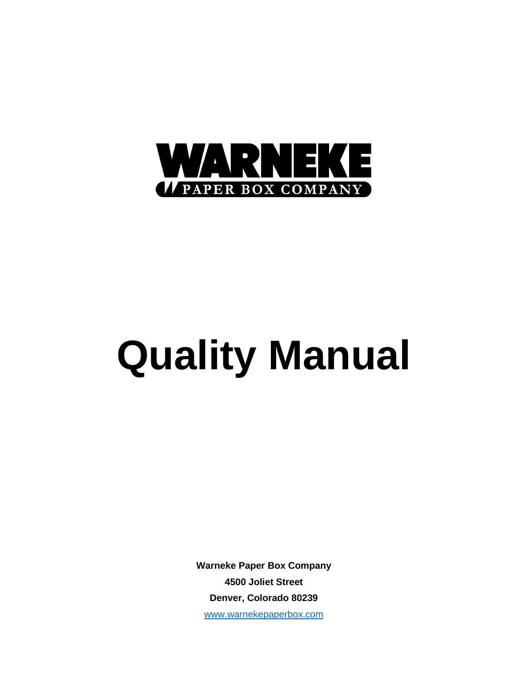

# **Quality Manual**

**Warneke Paper Box Company 4500 Joliet Street Denver, Colorado 80239** [www.warnekepaperbox.com](http://www.warnekepaperbox.com/)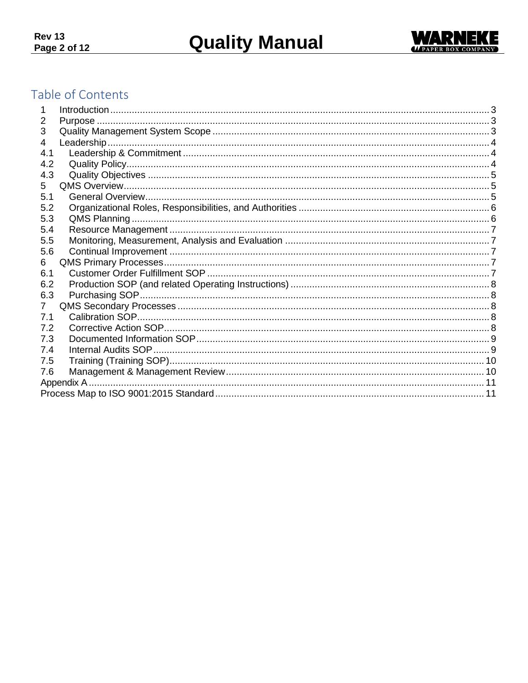

# Table of Contents

| 2              |  |
|----------------|--|
| 3              |  |
| 4              |  |
| 4.1            |  |
| 4.2            |  |
| 4.3            |  |
| 5              |  |
| 5.1            |  |
| 5.2            |  |
| 5.3            |  |
| 5.4            |  |
| 5.5            |  |
| 5.6            |  |
| 6              |  |
| 6.1            |  |
| 6.2            |  |
| 6.3            |  |
| $\overline{7}$ |  |
| 7.1            |  |
| 7.2            |  |
| 7.3            |  |
| 7.4            |  |
| 7.5            |  |
| 7.6            |  |
|                |  |
|                |  |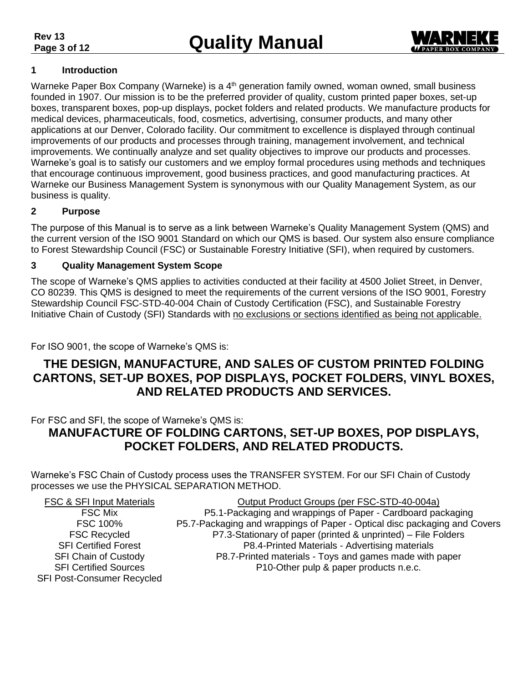

#### <span id="page-2-0"></span>**1 Introduction**

Warneke Paper Box Company (Warneke) is a 4<sup>th</sup> generation family owned, woman owned, small business founded in 1907. Our mission is to be the preferred provider of quality, custom printed paper boxes, set-up boxes, transparent boxes, pop-up displays, pocket folders and related products. We manufacture products for medical devices, pharmaceuticals, food, cosmetics, advertising, consumer products, and many other applications at our Denver, Colorado facility. Our commitment to excellence is displayed through continual improvements of our products and processes through training, management involvement, and technical improvements. We continually analyze and set quality objectives to improve our products and processes. Warneke's goal is to satisfy our customers and we employ formal procedures using methods and techniques that encourage continuous improvement, good business practices, and good manufacturing practices. At Warneke our Business Management System is synonymous with our Quality Management System, as our business is quality.

#### <span id="page-2-1"></span>**2 Purpose**

The purpose of this Manual is to serve as a link between Warneke's Quality Management System (QMS) and the current version of the ISO 9001 Standard on which our QMS is based. Our system also ensure compliance to Forest Stewardship Council (FSC) or Sustainable Forestry Initiative (SFI), when required by customers.

#### <span id="page-2-2"></span>**3 Quality Management System Scope**

The scope of Warneke's QMS applies to activities conducted at their facility at 4500 Joliet Street, in Denver, CO 80239. This QMS is designed to meet the requirements of the current versions of the ISO 9001, Forestry Stewardship Council FSC-STD-40-004 Chain of Custody Certification (FSC), and Sustainable Forestry Initiative Chain of Custody (SFI) Standards with no exclusions or sections identified as being not applicable.

For ISO 9001, the scope of Warneke's QMS is:

## **THE DESIGN, MANUFACTURE, AND SALES OF CUSTOM PRINTED FOLDING CARTONS, SET-UP BOXES, POP DISPLAYS, POCKET FOLDERS, VINYL BOXES, AND RELATED PRODUCTS AND SERVICES.**

For FSC and SFI, the scope of Warneke's QMS is:

# **MANUFACTURE OF FOLDING CARTONS, SET-UP BOXES, POP DISPLAYS, POCKET FOLDERS, AND RELATED PRODUCTS.**

Warneke's FSC Chain of Custody process uses the TRANSFER SYSTEM. For our SFI Chain of Custody processes we use the PHYSICAL SEPARATION METHOD.

| <b>FSC &amp; SFI Input Materials</b> | Output Product Groups (per FSC-STD-40-004a)                               |
|--------------------------------------|---------------------------------------------------------------------------|
| <b>FSC Mix</b>                       | P5.1-Packaging and wrappings of Paper - Cardboard packaging               |
| FSC 100%                             | P5.7-Packaging and wrappings of Paper - Optical disc packaging and Covers |
| <b>FSC Recycled</b>                  | P7.3-Stationary of paper (printed & unprinted) – File Folders             |
| <b>SFI Certified Forest</b>          | P8.4-Printed Materials - Advertising materials                            |
| <b>SFI Chain of Custody</b>          | P8.7-Printed materials - Toys and games made with paper                   |
| <b>SFI Certified Sources</b>         | P10-Other pulp & paper products n.e.c.                                    |
| <b>SFI Post-Consumer Recycled</b>    |                                                                           |
|                                      |                                                                           |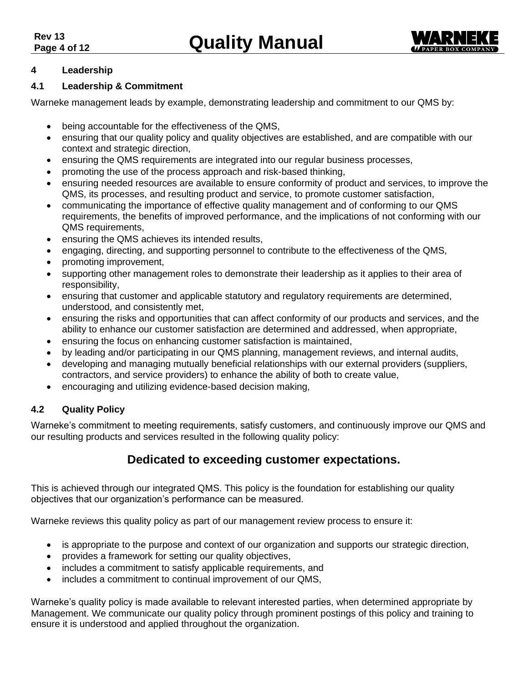

#### <span id="page-3-0"></span>**4 Leadership**

#### <span id="page-3-1"></span>**4.1 Leadership & Commitment**

Warneke management leads by example, demonstrating leadership and commitment to our QMS by:

- being accountable for the effectiveness of the QMS,
- ensuring that our quality policy and quality objectives are established, and are compatible with our context and strategic direction,
- ensuring the QMS requirements are integrated into our regular business processes,
- promoting the use of the process approach and risk-based thinking,
- ensuring needed resources are available to ensure conformity of product and services, to improve the QMS, its processes, and resulting product and service, to promote customer satisfaction,
- communicating the importance of effective quality management and of conforming to our QMS requirements, the benefits of improved performance, and the implications of not conforming with our QMS requirements,
- ensuring the QMS achieves its intended results,
- engaging, directing, and supporting personnel to contribute to the effectiveness of the QMS,
- promoting improvement,
- supporting other management roles to demonstrate their leadership as it applies to their area of responsibility,
- ensuring that customer and applicable statutory and regulatory requirements are determined, understood, and consistently met,
- ensuring the risks and opportunities that can affect conformity of our products and services, and the ability to enhance our customer satisfaction are determined and addressed, when appropriate,
- ensuring the focus on enhancing customer satisfaction is maintained,
- by leading and/or participating in our QMS planning, management reviews, and internal audits,
- developing and managing mutually beneficial relationships with our external providers (suppliers, contractors, and service providers) to enhance the ability of both to create value,
- encouraging and utilizing evidence-based decision making,

#### <span id="page-3-2"></span>**4.2 Quality Policy**

Warneke's commitment to meeting requirements, satisfy customers, and continuously improve our QMS and our resulting products and services resulted in the following quality policy:

## **Dedicated to exceeding customer expectations.**

This is achieved through our integrated QMS. This policy is the foundation for establishing our quality objectives that our organization's performance can be measured.

Warneke reviews this quality policy as part of our management review process to ensure it:

- is appropriate to the purpose and context of our organization and supports our strategic direction,
- provides a framework for setting our quality objectives,
- includes a commitment to satisfy applicable requirements, and
- includes a commitment to continual improvement of our QMS,

Warneke's quality policy is made available to relevant interested parties, when determined appropriate by Management. We communicate our quality policy through prominent postings of this policy and training to ensure it is understood and applied throughout the organization.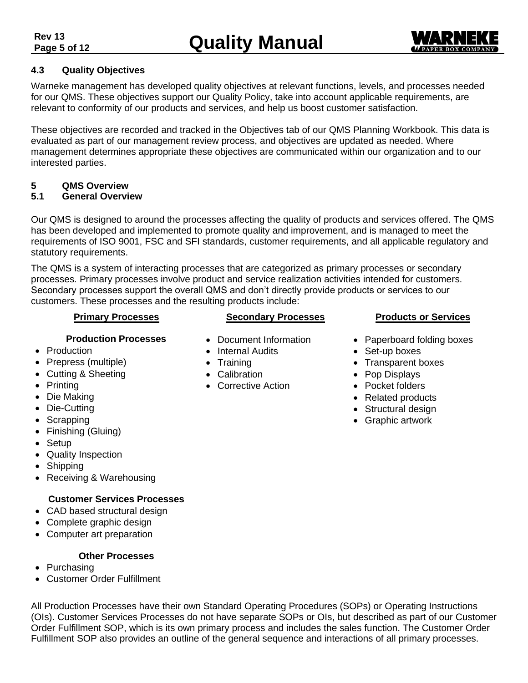

#### <span id="page-4-0"></span>**4.3 Quality Objectives**

Warneke management has developed quality objectives at relevant functions, levels, and processes needed for our QMS. These objectives support our Quality Policy, take into account applicable requirements, are relevant to conformity of our products and services, and help us boost customer satisfaction.

These objectives are recorded and tracked in the Objectives tab of our QMS Planning Workbook. This data is evaluated as part of our management review process, and objectives are updated as needed. Where management determines appropriate these objectives are communicated within our organization and to our interested parties.

#### <span id="page-4-1"></span>**5 QMS Overview**

#### <span id="page-4-2"></span>**5.1 General Overview**

Our QMS is designed to around the processes affecting the quality of products and services offered. The QMS has been developed and implemented to promote quality and improvement, and is managed to meet the requirements of ISO 9001, FSC and SFI standards, customer requirements, and all applicable regulatory and statutory requirements.

The QMS is a system of interacting processes that are categorized as primary processes or secondary processes. Primary processes involve product and service realization activities intended for customers. Secondary processes support the overall QMS and don't directly provide products or services to our customers. These processes and the resulting products include:

#### **Primary Processes**

#### **Secondary Processes**

- **Production Processes**
- Production
- Prepress (multiple)
- Cutting & Sheeting
- Printing
- Die Making
- Die-Cutting
- Scrapping
- Finishing (Gluing)
- Setup
- Quality Inspection
- Shipping
- Receiving & Warehousing

#### **Customer Services Processes**

- CAD based structural design
- Complete graphic design
- Computer art preparation

#### **Other Processes**

- Purchasing
- Customer Order Fulfillment

All Production Processes have their own Standard Operating Procedures (SOPs) or Operating Instructions (OIs). Customer Services Processes do not have separate SOPs or OIs, but described as part of our Customer Order Fulfillment SOP, which is its own primary process and includes the sales function. The Customer Order Fulfillment SOP also provides an outline of the general sequence and interactions of all primary processes.

- Document Information
- Internal Audits
- Training
- Calibration
- Corrective Action

# **Products or Services**

- Paperboard folding boxes
- Set-up boxes
- Transparent boxes
- Pop Displays
- Pocket folders
- Related products
- Structural design
- Graphic artwork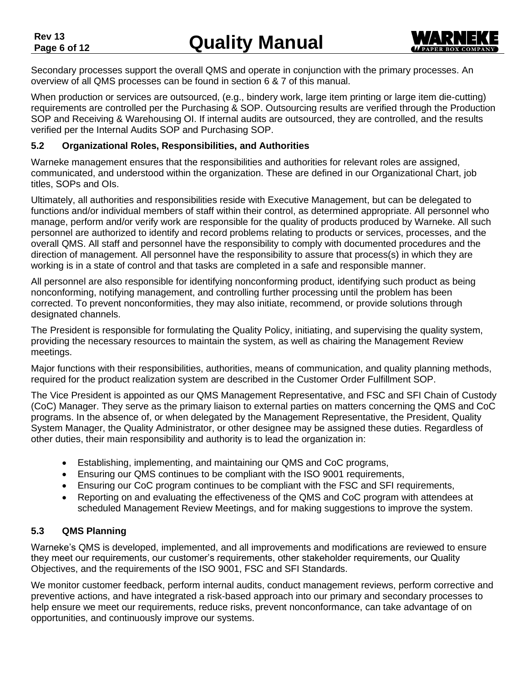

Secondary processes support the overall QMS and operate in conjunction with the primary processes. An overview of all QMS processes can be found in section 6 & 7 of this manual.

When production or services are outsourced, (e.g., bindery work, large item printing or large item die-cutting) requirements are controlled per the Purchasing & SOP. Outsourcing results are verified through the Production SOP and Receiving & Warehousing OI. If internal audits are outsourced, they are controlled, and the results verified per the Internal Audits SOP and Purchasing SOP.

#### <span id="page-5-0"></span>**5.2 Organizational Roles, Responsibilities, and Authorities**

Warneke management ensures that the responsibilities and authorities for relevant roles are assigned, communicated, and understood within the organization. These are defined in our Organizational Chart, job titles, SOPs and OIs.

Ultimately, all authorities and responsibilities reside with Executive Management, but can be delegated to functions and/or individual members of staff within their control, as determined appropriate. All personnel who manage, perform and/or verify work are responsible for the quality of products produced by Warneke. All such personnel are authorized to identify and record problems relating to products or services, processes, and the overall QMS. All staff and personnel have the responsibility to comply with documented procedures and the direction of management. All personnel have the responsibility to assure that process(s) in which they are working is in a state of control and that tasks are completed in a safe and responsible manner.

All personnel are also responsible for identifying nonconforming product, identifying such product as being nonconforming, notifying management, and controlling further processing until the problem has been corrected. To prevent nonconformities, they may also initiate, recommend, or provide solutions through designated channels.

The President is responsible for formulating the Quality Policy, initiating, and supervising the quality system, providing the necessary resources to maintain the system, as well as chairing the Management Review meetings.

Major functions with their responsibilities, authorities, means of communication, and quality planning methods, required for the product realization system are described in the Customer Order Fulfillment SOP.

The Vice President is appointed as our QMS Management Representative, and FSC and SFI Chain of Custody (CoC) Manager. They serve as the primary liaison to external parties on matters concerning the QMS and CoC programs. In the absence of, or when delegated by the Management Representative, the President, Quality System Manager, the Quality Administrator, or other designee may be assigned these duties. Regardless of other duties, their main responsibility and authority is to lead the organization in:

- Establishing, implementing, and maintaining our QMS and CoC programs,
- Ensuring our QMS continues to be compliant with the ISO 9001 requirements,
- Ensuring our CoC program continues to be compliant with the FSC and SFI requirements,
- Reporting on and evaluating the effectiveness of the QMS and CoC program with attendees at scheduled Management Review Meetings, and for making suggestions to improve the system.

#### <span id="page-5-1"></span>**5.3 QMS Planning**

Warneke's QMS is developed, implemented, and all improvements and modifications are reviewed to ensure they meet our requirements, our customer's requirements, other stakeholder requirements, our Quality Objectives, and the requirements of the ISO 9001, FSC and SFI Standards.

We monitor customer feedback, perform internal audits, conduct management reviews, perform corrective and preventive actions, and have integrated a risk-based approach into our primary and secondary processes to help ensure we meet our requirements, reduce risks, prevent nonconformance, can take advantage of on opportunities, and continuously improve our systems.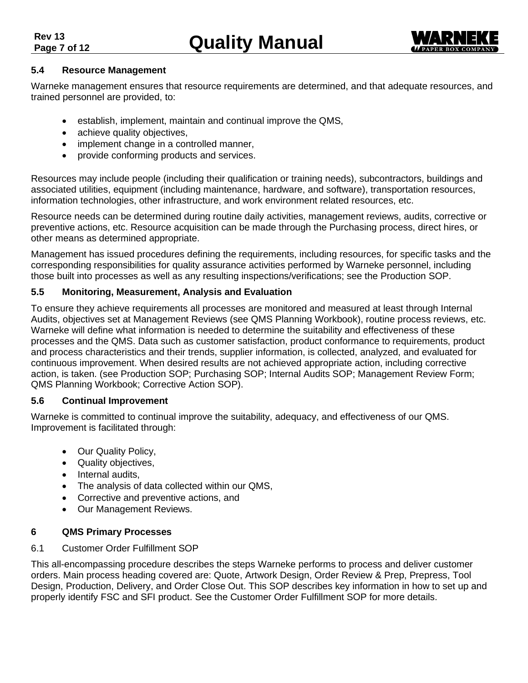

#### <span id="page-6-0"></span>**5.4 Resource Management**

Warneke management ensures that resource requirements are determined, and that adequate resources, and trained personnel are provided, to:

- establish, implement, maintain and continual improve the QMS,
- achieve quality objectives,
- implement change in a controlled manner,
- provide conforming products and services.

Resources may include people (including their qualification or training needs), subcontractors, buildings and associated utilities, equipment (including maintenance, hardware, and software), transportation resources, information technologies, other infrastructure, and work environment related resources, etc.

Resource needs can be determined during routine daily activities, management reviews, audits, corrective or preventive actions, etc. Resource acquisition can be made through the Purchasing process, direct hires, or other means as determined appropriate.

Management has issued procedures defining the requirements, including resources, for specific tasks and the corresponding responsibilities for quality assurance activities performed by Warneke personnel, including those built into processes as well as any resulting inspections/verifications; see the Production SOP.

#### <span id="page-6-1"></span>**5.5 Monitoring, Measurement, Analysis and Evaluation**

To ensure they achieve requirements all processes are monitored and measured at least through Internal Audits, objectives set at Management Reviews (see QMS Planning Workbook), routine process reviews, etc. Warneke will define what information is needed to determine the suitability and effectiveness of these processes and the QMS. Data such as customer satisfaction, product conformance to requirements, product and process characteristics and their trends, supplier information, is collected, analyzed, and evaluated for continuous improvement. When desired results are not achieved appropriate action, including corrective action, is taken. (see Production SOP; Purchasing SOP; Internal Audits SOP; Management Review Form; QMS Planning Workbook; Corrective Action SOP).

#### <span id="page-6-2"></span>**5.6 Continual Improvement**

Warneke is committed to continual improve the suitability, adequacy, and effectiveness of our QMS. Improvement is facilitated through:

- Our Quality Policy,
- Quality objectives,
- Internal audits,
- The analysis of data collected within our QMS,
- Corrective and preventive actions, and
- Our Management Reviews.

#### <span id="page-6-3"></span>**6 QMS Primary Processes**

#### <span id="page-6-4"></span>6.1 Customer Order Fulfillment SOP

This all-encompassing procedure describes the steps Warneke performs to process and deliver customer orders. Main process heading covered are: Quote, Artwork Design, Order Review & Prep, Prepress, Tool Design, Production, Delivery, and Order Close Out. This SOP describes key information in how to set up and properly identify FSC and SFI product. See the Customer Order Fulfillment SOP for more details.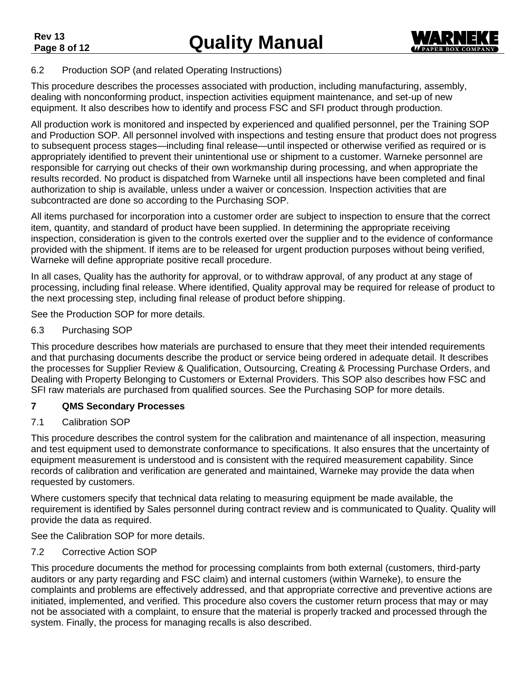

#### <span id="page-7-0"></span>6.2 Production SOP (and related Operating Instructions)

This procedure describes the processes associated with production, including manufacturing, assembly, dealing with nonconforming product, inspection activities equipment maintenance, and set-up of new equipment. It also describes how to identify and process FSC and SFI product through production.

All production work is monitored and inspected by experienced and qualified personnel, per the Training SOP and Production SOP. All personnel involved with inspections and testing ensure that product does not progress to subsequent process stages—including final release—until inspected or otherwise verified as required or is appropriately identified to prevent their unintentional use or shipment to a customer. Warneke personnel are responsible for carrying out checks of their own workmanship during processing, and when appropriate the results recorded. No product is dispatched from Warneke until all inspections have been completed and final authorization to ship is available, unless under a waiver or concession. Inspection activities that are subcontracted are done so according to the Purchasing SOP.

All items purchased for incorporation into a customer order are subject to inspection to ensure that the correct item, quantity, and standard of product have been supplied. In determining the appropriate receiving inspection, consideration is given to the controls exerted over the supplier and to the evidence of conformance provided with the shipment. If items are to be released for urgent production purposes without being verified, Warneke will define appropriate positive recall procedure.

In all cases, Quality has the authority for approval, or to withdraw approval, of any product at any stage of processing, including final release. Where identified, Quality approval may be required for release of product to the next processing step, including final release of product before shipping.

See the Production SOP for more details.

#### <span id="page-7-1"></span>6.3 Purchasing SOP

This procedure describes how materials are purchased to ensure that they meet their intended requirements and that purchasing documents describe the product or service being ordered in adequate detail. It describes the processes for Supplier Review & Qualification, Outsourcing, Creating & Processing Purchase Orders, and Dealing with Property Belonging to Customers or External Providers. This SOP also describes how FSC and SFI raw materials are purchased from qualified sources. See the Purchasing SOP for more details.

#### <span id="page-7-2"></span>**7 QMS Secondary Processes**

#### <span id="page-7-3"></span>7.1 Calibration SOP

This procedure describes the control system for the calibration and maintenance of all inspection, measuring and test equipment used to demonstrate conformance to specifications. It also ensures that the uncertainty of equipment measurement is understood and is consistent with the required measurement capability. Since records of calibration and verification are generated and maintained, Warneke may provide the data when requested by customers.

Where customers specify that technical data relating to measuring equipment be made available, the requirement is identified by Sales personnel during contract review and is communicated to Quality. Quality will provide the data as required.

See the Calibration SOP for more details.

#### <span id="page-7-4"></span>7.2 Corrective Action SOP

This procedure documents the method for processing complaints from both external (customers, third-party auditors or any party regarding and FSC claim) and internal customers (within Warneke), to ensure the complaints and problems are effectively addressed, and that appropriate corrective and preventive actions are initiated, implemented, and verified. This procedure also covers the customer return process that may or may not be associated with a complaint, to ensure that the material is properly tracked and processed through the system. Finally, the process for managing recalls is also described.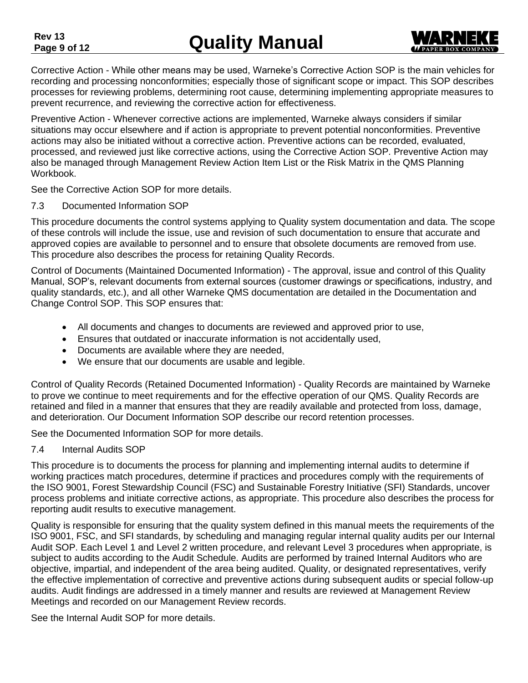Corrective Action - While other means may be used, Warneke's Corrective Action SOP is the main vehicles for recording and processing nonconformities; especially those of significant scope or impact. This SOP describes processes for reviewing problems, determining root cause, determining implementing appropriate measures to

prevent recurrence, and reviewing the corrective action for effectiveness.

Preventive Action - Whenever corrective actions are implemented, Warneke always considers if similar situations may occur elsewhere and if action is appropriate to prevent potential nonconformities. Preventive actions may also be initiated without a corrective action. Preventive actions can be recorded, evaluated, processed, and reviewed just like corrective actions, using the Corrective Action SOP. Preventive Action may also be managed through Management Review Action Item List or the Risk Matrix in the QMS Planning Workbook.

See the Corrective Action SOP for more details.

#### <span id="page-8-0"></span>7.3 Documented Information SOP

This procedure documents the control systems applying to Quality system documentation and data. The scope of these controls will include the issue, use and revision of such documentation to ensure that accurate and approved copies are available to personnel and to ensure that obsolete documents are removed from use. This procedure also describes the process for retaining Quality Records.

Control of Documents (Maintained Documented Information) - The approval, issue and control of this Quality Manual, SOP's, relevant documents from external sources (customer drawings or specifications, industry, and quality standards, etc.), and all other Warneke QMS documentation are detailed in the Documentation and Change Control SOP. This SOP ensures that:

- All documents and changes to documents are reviewed and approved prior to use,
- Ensures that outdated or inaccurate information is not accidentally used,
- Documents are available where they are needed,
- We ensure that our documents are usable and legible.

Control of Quality Records (Retained Documented Information) - Quality Records are maintained by Warneke to prove we continue to meet requirements and for the effective operation of our QMS. Quality Records are retained and filed in a manner that ensures that they are readily available and protected from loss, damage, and deterioration. Our Document Information SOP describe our record retention processes.

See the Documented Information SOP for more details.

#### <span id="page-8-1"></span>7.4 Internal Audits SOP

This procedure is to documents the process for planning and implementing internal audits to determine if working practices match procedures, determine if practices and procedures comply with the requirements of the ISO 9001, Forest Stewardship Council (FSC) and Sustainable Forestry Initiative (SFI) Standards, uncover process problems and initiate corrective actions, as appropriate. This procedure also describes the process for reporting audit results to executive management.

Quality is responsible for ensuring that the quality system defined in this manual meets the requirements of the ISO 9001, FSC, and SFI standards, by scheduling and managing regular internal quality audits per our Internal Audit SOP. Each Level 1 and Level 2 written procedure, and relevant Level 3 procedures when appropriate, is subject to audits according to the Audit Schedule. Audits are performed by trained Internal Auditors who are objective, impartial, and independent of the area being audited. Quality, or designated representatives, verify the effective implementation of corrective and preventive actions during subsequent audits or special follow-up audits. Audit findings are addressed in a timely manner and results are reviewed at Management Review Meetings and recorded on our Management Review records.

See the Internal Audit SOP for more details.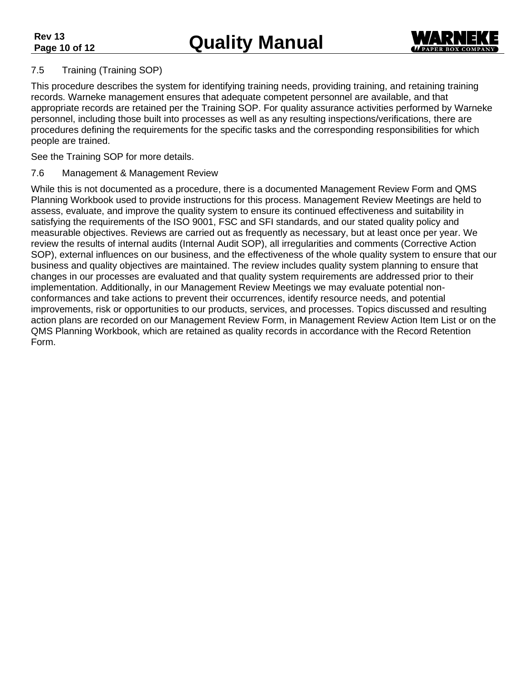

#### <span id="page-9-0"></span>7.5 Training (Training SOP)

This procedure describes the system for identifying training needs, providing training, and retaining training records. Warneke management ensures that adequate competent personnel are available, and that appropriate records are retained per the Training SOP. For quality assurance activities performed by Warneke personnel, including those built into processes as well as any resulting inspections/verifications, there are procedures defining the requirements for the specific tasks and the corresponding responsibilities for which people are trained.

See the Training SOP for more details.

#### <span id="page-9-1"></span>7.6 Management & Management Review

While this is not documented as a procedure, there is a documented Management Review Form and QMS Planning Workbook used to provide instructions for this process. Management Review Meetings are held to assess, evaluate, and improve the quality system to ensure its continued effectiveness and suitability in satisfying the requirements of the ISO 9001, FSC and SFI standards, and our stated quality policy and measurable objectives. Reviews are carried out as frequently as necessary, but at least once per year. We review the results of internal audits (Internal Audit SOP), all irregularities and comments (Corrective Action SOP), external influences on our business, and the effectiveness of the whole quality system to ensure that our business and quality objectives are maintained. The review includes quality system planning to ensure that changes in our processes are evaluated and that quality system requirements are addressed prior to their implementation. Additionally, in our Management Review Meetings we may evaluate potential nonconformances and take actions to prevent their occurrences, identify resource needs, and potential improvements, risk or opportunities to our products, services, and processes. Topics discussed and resulting action plans are recorded on our Management Review Form, in Management Review Action Item List or on the QMS Planning Workbook, which are retained as quality records in accordance with the Record Retention Form.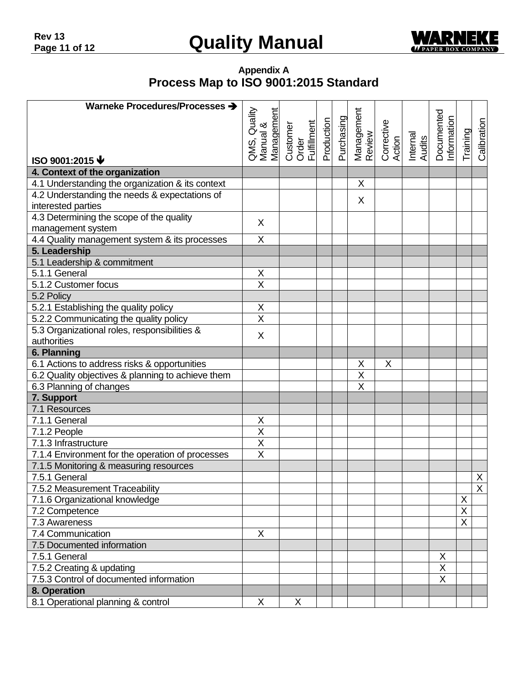

**Appendix A Process Map to ISO 9001:2015 Standard**

<span id="page-10-1"></span><span id="page-10-0"></span>

| Warneke Procedures/Processes >                    |                           |                                                                                   |                          |                         |                      |                    |                          |          |                |
|---------------------------------------------------|---------------------------|-----------------------------------------------------------------------------------|--------------------------|-------------------------|----------------------|--------------------|--------------------------|----------|----------------|
|                                                   |                           |                                                                                   |                          |                         |                      |                    |                          |          |                |
|                                                   |                           |                                                                                   |                          |                         |                      |                    |                          |          |                |
|                                                   |                           |                                                                                   |                          |                         |                      |                    |                          |          |                |
|                                                   |                           | QMS, Quality<br>Manual &<br><u>Management</u><br>Customer<br>Order<br>Fulfillment | Production<br>Purchasing | Management<br>Review    | Corrective<br>Action | Internal<br>Audits | Documented<br>nformation | Training | Calibration    |
| ISO 9001:2015 $\blacklozenge$                     |                           |                                                                                   |                          |                         |                      |                    |                          |          |                |
| 4. Context of the organization                    |                           |                                                                                   |                          |                         |                      |                    |                          |          |                |
| 4.1 Understanding the organization & its context  |                           |                                                                                   |                          | X                       |                      |                    |                          |          |                |
| 4.2 Understanding the needs & expectations of     |                           |                                                                                   |                          | X                       |                      |                    |                          |          |                |
| interested parties                                |                           |                                                                                   |                          |                         |                      |                    |                          |          |                |
| 4.3 Determining the scope of the quality          | X                         |                                                                                   |                          |                         |                      |                    |                          |          |                |
| management system                                 |                           |                                                                                   |                          |                         |                      |                    |                          |          |                |
| 4.4 Quality management system & its processes     | X                         |                                                                                   |                          |                         |                      |                    |                          |          |                |
| 5. Leadership                                     |                           |                                                                                   |                          |                         |                      |                    |                          |          |                |
| 5.1 Leadership & commitment                       |                           |                                                                                   |                          |                         |                      |                    |                          |          |                |
| 5.1.1 General                                     | X                         |                                                                                   |                          |                         |                      |                    |                          |          |                |
| 5.1.2 Customer focus                              | $\overline{\mathsf{x}}$   |                                                                                   |                          |                         |                      |                    |                          |          |                |
| 5.2 Policy                                        |                           |                                                                                   |                          |                         |                      |                    |                          |          |                |
| 5.2.1 Establishing the quality policy             | X                         |                                                                                   |                          |                         |                      |                    |                          |          |                |
| 5.2.2 Communicating the quality policy            | $\overline{\mathsf{x}}$   |                                                                                   |                          |                         |                      |                    |                          |          |                |
| 5.3 Organizational roles, responsibilities &      | X                         |                                                                                   |                          |                         |                      |                    |                          |          |                |
| authorities                                       |                           |                                                                                   |                          |                         |                      |                    |                          |          |                |
| 6. Planning                                       |                           |                                                                                   |                          |                         |                      |                    |                          |          |                |
| 6.1 Actions to address risks & opportunities      |                           |                                                                                   |                          | $\mathsf X$             | X                    |                    |                          |          |                |
| 6.2 Quality objectives & planning to achieve them |                           |                                                                                   |                          | $\overline{\mathsf{X}}$ |                      |                    |                          |          |                |
| 6.3 Planning of changes                           |                           |                                                                                   |                          | $\overline{\mathsf{x}}$ |                      |                    |                          |          |                |
| 7. Support                                        |                           |                                                                                   |                          |                         |                      |                    |                          |          |                |
| 7.1 Resources                                     |                           |                                                                                   |                          |                         |                      |                    |                          |          |                |
| 7.1.1 General                                     | X                         |                                                                                   |                          |                         |                      |                    |                          |          |                |
| 7.1.2 People                                      | $\overline{\mathsf{x}}$   |                                                                                   |                          |                         |                      |                    |                          |          |                |
| 7.1.3 Infrastructure                              | X                         |                                                                                   |                          |                         |                      |                    |                          |          |                |
| 7.1.4 Environment for the operation of processes  | $\overline{\mathsf{x}}$   |                                                                                   |                          |                         |                      |                    |                          |          |                |
| 7.1.5 Monitoring & measuring resources            |                           |                                                                                   |                          |                         |                      |                    |                          |          |                |
| 7.5.1 General                                     |                           |                                                                                   |                          |                         |                      |                    |                          |          | X              |
| 7.5.2 Measurement Traceability                    |                           |                                                                                   |                          |                         |                      |                    |                          |          | $\overline{X}$ |
| 7.1.6 Organizational knowledge                    |                           |                                                                                   |                          |                         |                      |                    |                          | X        |                |
| 7.2 Competence                                    |                           |                                                                                   |                          |                         |                      |                    |                          | X        |                |
| 7.3 Awareness                                     |                           |                                                                                   |                          |                         |                      |                    |                          | X        |                |
| 7.4 Communication                                 | $\boldsymbol{\mathsf{X}}$ |                                                                                   |                          |                         |                      |                    |                          |          |                |
| 7.5 Documented information                        |                           |                                                                                   |                          |                         |                      |                    |                          |          |                |
| 7.5.1 General                                     |                           |                                                                                   |                          |                         |                      |                    | X                        |          |                |
| 7.5.2 Creating & updating                         |                           |                                                                                   |                          |                         |                      |                    | X                        |          |                |
| 7.5.3 Control of documented information           |                           |                                                                                   |                          |                         |                      |                    | $\times$                 |          |                |
| 8. Operation                                      |                           |                                                                                   |                          |                         |                      |                    |                          |          |                |
| 8.1 Operational planning & control                | X                         | X                                                                                 |                          |                         |                      |                    |                          |          |                |